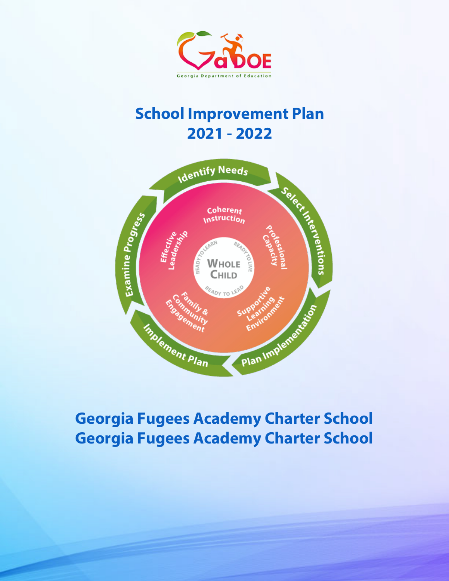

# **School Improvement Plan 2021 - 2022**



# **Georgia Fugees Academy Charter School Georgia Fugees Academy Charter School**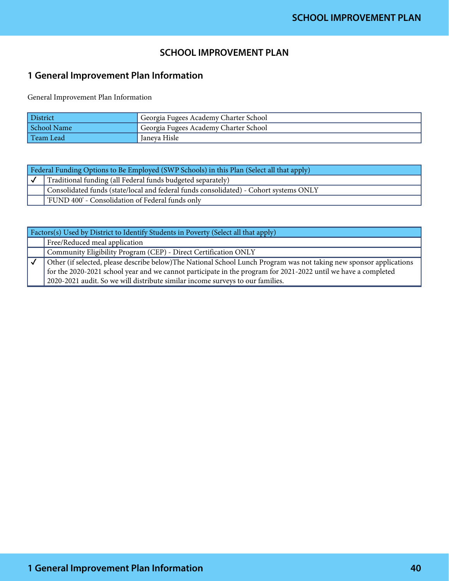## **SCHOOL IMPROVEMENT PLAN**

# **1 General Improvement Plan Information**

General Improvement Plan Information

| <b>District</b> | <sup>1</sup> Georgia Fugees Academy Charter School |
|-----------------|----------------------------------------------------|
| School Name     | Georgia Fugees Academy Charter School              |
| Team Lead       | Janeya Hisle                                       |

| Federal Funding Options to Be Employed (SWP Schools) in this Plan (Select all that apply) |                                                                                       |  |
|-------------------------------------------------------------------------------------------|---------------------------------------------------------------------------------------|--|
|                                                                                           | Traditional funding (all Federal funds budgeted separately)                           |  |
|                                                                                           | Consolidated funds (state/local and federal funds consolidated) - Cohort systems ONLY |  |
|                                                                                           | FUND 400' - Consolidation of Federal funds only                                       |  |

| Factors(s) Used by District to Identify Students in Poverty (Select all that apply)                                 |
|---------------------------------------------------------------------------------------------------------------------|
| Free/Reduced meal application                                                                                       |
| Community Eligibility Program (CEP) - Direct Certification ONLY                                                     |
| Other (if selected, please describe below)The National School Lunch Program was not taking new sponsor applications |
| for the 2020-2021 school year and we cannot participate in the program for 2021-2022 until we have a completed      |
| 2020-2021 audit. So we will distribute similar income surveys to our families.                                      |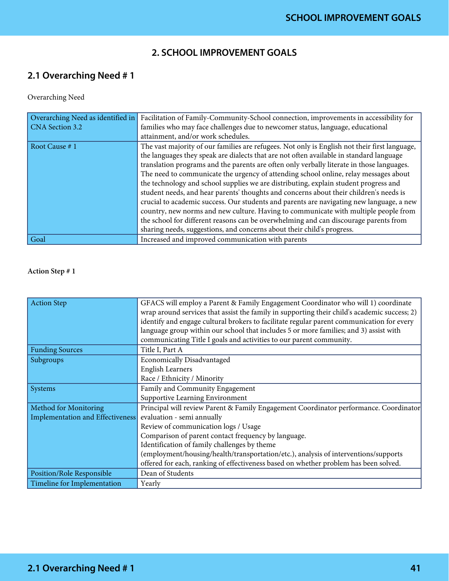## **2. SCHOOL IMPROVEMENT GOALS**

# **2.1 Overarching Need # 1**

#### Overarching Need

| Overarching Need as identified in | Facilitation of Family-Community-School connection, improvements in accessibility for         |
|-----------------------------------|-----------------------------------------------------------------------------------------------|
| CNA Section 3.2                   | families who may face challenges due to newcomer status, language, educational                |
|                                   | attainment, and/or work schedules.                                                            |
| Root Cause #1                     | The vast majority of our families are refugees. Not only is English not their first language, |
|                                   | the languages they speak are dialects that are not often available in standard language       |
|                                   | translation programs and the parents are often only verbally literate in those languages.     |
|                                   | The need to communicate the urgency of attending school online, relay messages about          |
|                                   | the technology and school supplies we are distributing, explain student progress and          |
|                                   | student needs, and hear parents' thoughts and concerns about their children's needs is        |
|                                   | crucial to academic success. Our students and parents are navigating new language, a new      |
|                                   | country, new norms and new culture. Having to communicate with multiple people from           |
|                                   | the school for different reasons can be overwhelming and can discourage parents from          |
|                                   | sharing needs, suggestions, and concerns about their child's progress.                        |
| Goal                              | Increased and improved communication with parents                                             |

| <b>Action Step</b>               | GFACS will employ a Parent & Family Engagement Coordinator who will 1) coordinate<br>wrap around services that assist the family in supporting their child's academic success; 2)<br>identify and engage cultural brokers to facilitate regular parent communication for every<br>language group within our school that includes 5 or more families; and 3) assist with<br>communicating Title I goals and activities to our parent community. |  |  |  |
|----------------------------------|------------------------------------------------------------------------------------------------------------------------------------------------------------------------------------------------------------------------------------------------------------------------------------------------------------------------------------------------------------------------------------------------------------------------------------------------|--|--|--|
| <b>Funding Sources</b>           | Title I, Part A                                                                                                                                                                                                                                                                                                                                                                                                                                |  |  |  |
| Subgroups                        | Economically Disadvantaged                                                                                                                                                                                                                                                                                                                                                                                                                     |  |  |  |
|                                  | <b>English Learners</b>                                                                                                                                                                                                                                                                                                                                                                                                                        |  |  |  |
|                                  | Race / Ethnicity / Minority                                                                                                                                                                                                                                                                                                                                                                                                                    |  |  |  |
| Systems                          | Family and Community Engagement                                                                                                                                                                                                                                                                                                                                                                                                                |  |  |  |
|                                  | Supportive Learning Environment                                                                                                                                                                                                                                                                                                                                                                                                                |  |  |  |
| Method for Monitoring            | Principal will review Parent & Family Engagement Coordinator performance. Coordinator                                                                                                                                                                                                                                                                                                                                                          |  |  |  |
| Implementation and Effectiveness | evaluation - semi annually                                                                                                                                                                                                                                                                                                                                                                                                                     |  |  |  |
|                                  | Review of communication logs / Usage                                                                                                                                                                                                                                                                                                                                                                                                           |  |  |  |
|                                  | Comparison of parent contact frequency by language.                                                                                                                                                                                                                                                                                                                                                                                            |  |  |  |
|                                  | Identification of family challenges by theme                                                                                                                                                                                                                                                                                                                                                                                                   |  |  |  |
|                                  | (employment/housing/health/transportation/etc.), analysis of interventions/supports                                                                                                                                                                                                                                                                                                                                                            |  |  |  |
|                                  | offered for each, ranking of effectiveness based on whether problem has been solved.                                                                                                                                                                                                                                                                                                                                                           |  |  |  |
| Position/Role Responsible        | Dean of Students                                                                                                                                                                                                                                                                                                                                                                                                                               |  |  |  |
| Timeline for Implementation      | Yearly                                                                                                                                                                                                                                                                                                                                                                                                                                         |  |  |  |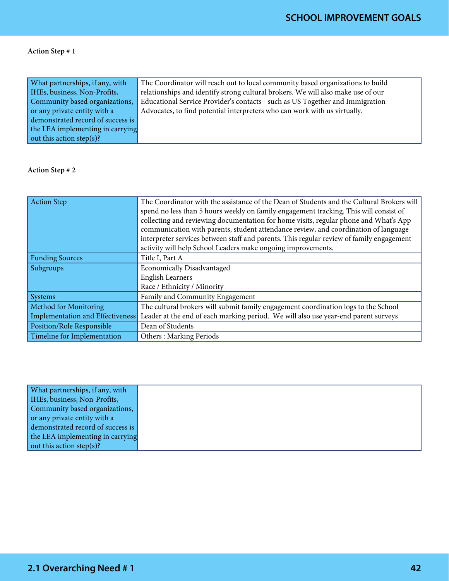| What partnerships, if any, with   | The Coordinator will reach out to local community based organizations to build   |
|-----------------------------------|----------------------------------------------------------------------------------|
| IHEs, business, Non-Profits,      | relationships and identify strong cultural brokers. We will also make use of our |
| Community based organizations,    | Educational Service Provider's contacts - such as US Together and Immigration    |
| or any private entity with a      | Advocates, to find potential interpreters who can work with us virtually.        |
| demonstrated record of success is |                                                                                  |
| the LEA implementing in carrying  |                                                                                  |
| out this action step(s)?          |                                                                                  |

| Action Step                      | The Coordinator with the assistance of the Dean of Students and the Cultural Brokers will<br>spend no less than 5 hours weekly on family engagement tracking. This will consist of<br>collecting and reviewing documentation for home visits, regular phone and What's App<br>communication with parents, student attendance review, and coordination of language<br>interpreter services between staff and parents. This regular review of family engagement<br>activity will help School Leaders make ongoing improvements. |  |  |  |
|----------------------------------|-------------------------------------------------------------------------------------------------------------------------------------------------------------------------------------------------------------------------------------------------------------------------------------------------------------------------------------------------------------------------------------------------------------------------------------------------------------------------------------------------------------------------------|--|--|--|
| <b>Funding Sources</b>           | Title I, Part A                                                                                                                                                                                                                                                                                                                                                                                                                                                                                                               |  |  |  |
| Subgroups                        | <b>Economically Disadvantaged</b>                                                                                                                                                                                                                                                                                                                                                                                                                                                                                             |  |  |  |
|                                  | <b>English Learners</b>                                                                                                                                                                                                                                                                                                                                                                                                                                                                                                       |  |  |  |
|                                  | Race / Ethnicity / Minority                                                                                                                                                                                                                                                                                                                                                                                                                                                                                                   |  |  |  |
| Systems                          | Family and Community Engagement                                                                                                                                                                                                                                                                                                                                                                                                                                                                                               |  |  |  |
| Method for Monitoring            | The cultural brokers will submit family engagement coordination logs to the School                                                                                                                                                                                                                                                                                                                                                                                                                                            |  |  |  |
| Implementation and Effectiveness | Leader at the end of each marking period. We will also use year-end parent surveys                                                                                                                                                                                                                                                                                                                                                                                                                                            |  |  |  |
| Position/Role Responsible        | Dean of Students                                                                                                                                                                                                                                                                                                                                                                                                                                                                                                              |  |  |  |
| Timeline for Implementation      | <b>Others: Marking Periods</b>                                                                                                                                                                                                                                                                                                                                                                                                                                                                                                |  |  |  |

| What partnerships, if any, with   |  |  |
|-----------------------------------|--|--|
| IHEs, business, Non-Profits,      |  |  |
| Community based organizations,    |  |  |
| or any private entity with a      |  |  |
| demonstrated record of success is |  |  |
| the LEA implementing in carrying  |  |  |
| out this action step(s)?          |  |  |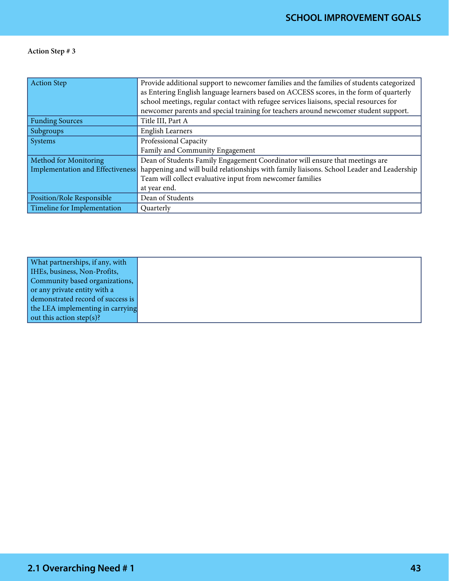| <b>Action Step</b>               | Provide additional support to newcomer families and the families of students categorized<br>as Entering English language learners based on ACCESS scores, in the form of quarterly<br>school meetings, regular contact with refugee services liaisons, special resources for<br>newcomer parents and special training for teachers around newcomer student support. |
|----------------------------------|---------------------------------------------------------------------------------------------------------------------------------------------------------------------------------------------------------------------------------------------------------------------------------------------------------------------------------------------------------------------|
| <b>Funding Sources</b>           | Title III, Part A                                                                                                                                                                                                                                                                                                                                                   |
| Subgroups                        | <b>English Learners</b>                                                                                                                                                                                                                                                                                                                                             |
| Systems                          | Professional Capacity                                                                                                                                                                                                                                                                                                                                               |
|                                  | Family and Community Engagement                                                                                                                                                                                                                                                                                                                                     |
| Method for Monitoring            | Dean of Students Family Engagement Coordinator will ensure that meetings are                                                                                                                                                                                                                                                                                        |
| Implementation and Effectiveness | happening and will build relationships with family liaisons. School Leader and Leadership                                                                                                                                                                                                                                                                           |
|                                  | Team will collect evaluative input from newcomer families                                                                                                                                                                                                                                                                                                           |
|                                  | at year end.                                                                                                                                                                                                                                                                                                                                                        |
| <b>Position/Role Responsible</b> | Dean of Students                                                                                                                                                                                                                                                                                                                                                    |
| Timeline for Implementation      | Quarterly                                                                                                                                                                                                                                                                                                                                                           |

| What partnerships, if any, with   |
|-----------------------------------|
| IHEs, business, Non-Profits,      |
| Community based organizations,    |
| or any private entity with a      |
| demonstrated record of success is |
| the LEA implementing in carrying  |
| out this action step(s)?          |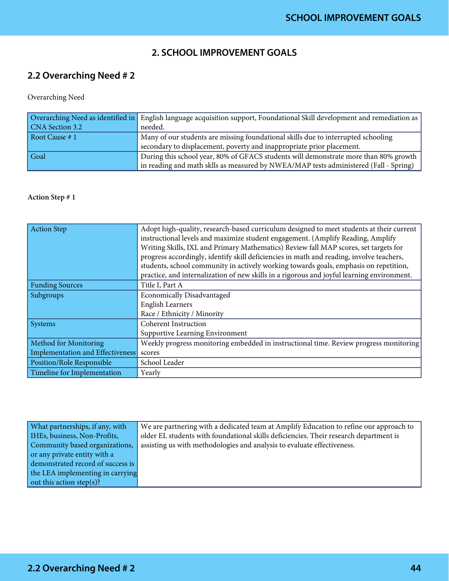## **2. SCHOOL IMPROVEMENT GOALS**

# **2.2 Overarching Need # 2**

Overarching Need

|                        | Overarching Need as identified in English language acquisition support, Foundational Skill development and remediation as |
|------------------------|---------------------------------------------------------------------------------------------------------------------------|
| <b>CNA</b> Section 3.2 | needed.                                                                                                                   |
| Root Cause # 1         | Many of our students are missing foundational skills due to interrupted schooling                                         |
|                        | secondary to displacement, poverty and inappropriate prior placement.                                                     |
| Goal                   | During this school year, 80% of GFACS students will demonstrate more than 80% growth                                      |
|                        | in reading and math sklls as measured by NWEA/MAP tests administered (Fall - Spring)                                      |

| <b>Action Step</b>               | Adopt high-quality, research-based curriculum designed to meet students at their current<br>instructional levels and maximize student engagement. (Amplify Reading, Amplify<br>Writing Skills, IXL and Primary Mathematics) Review fall MAP scores, set targets for<br>progress accordingly, identify skill deficiencies in math and reading, involve teachers,<br>students, school community in actively working towards goals, emphasis on repetition,<br>practice, and internalization of new skills in a rigorous and joyful learning environment. |
|----------------------------------|--------------------------------------------------------------------------------------------------------------------------------------------------------------------------------------------------------------------------------------------------------------------------------------------------------------------------------------------------------------------------------------------------------------------------------------------------------------------------------------------------------------------------------------------------------|
| <b>Funding Sources</b>           | Title I, Part A                                                                                                                                                                                                                                                                                                                                                                                                                                                                                                                                        |
| Subgroups                        | <b>Economically Disadvantaged</b>                                                                                                                                                                                                                                                                                                                                                                                                                                                                                                                      |
|                                  | <b>English Learners</b>                                                                                                                                                                                                                                                                                                                                                                                                                                                                                                                                |
|                                  | Race / Ethnicity / Minority                                                                                                                                                                                                                                                                                                                                                                                                                                                                                                                            |
| Systems                          | <b>Coherent Instruction</b>                                                                                                                                                                                                                                                                                                                                                                                                                                                                                                                            |
|                                  | Supportive Learning Environment                                                                                                                                                                                                                                                                                                                                                                                                                                                                                                                        |
| Method for Monitoring            | Weekly progress monitoring embedded in instructional time. Review progress monitoring                                                                                                                                                                                                                                                                                                                                                                                                                                                                  |
| Implementation and Effectiveness | scores                                                                                                                                                                                                                                                                                                                                                                                                                                                                                                                                                 |
| Position/Role Responsible        | School Leader                                                                                                                                                                                                                                                                                                                                                                                                                                                                                                                                          |
| Timeline for Implementation      | Yearly                                                                                                                                                                                                                                                                                                                                                                                                                                                                                                                                                 |

| What partnerships, if any, with   | We are partnering with a dedicated team at Amplify Education to refine our approach to |
|-----------------------------------|----------------------------------------------------------------------------------------|
| IHEs, business, Non-Profits,      | older EL students with foundational skills deficiencies. Their research department is  |
| Community based organizations,    | assisting us with methodologies and analysis to evaluate effectiveness.                |
| or any private entity with a      |                                                                                        |
| demonstrated record of success is |                                                                                        |
| the LEA implementing in carrying  |                                                                                        |
| out this action step(s)?          |                                                                                        |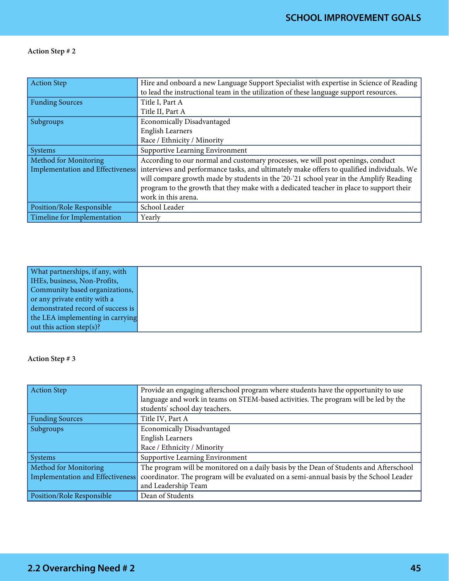| Action Step                      | Hire and onboard a new Language Support Specialist with expertise in Science of Reading<br>to lead the instructional team in the utilization of these language support resources. |
|----------------------------------|-----------------------------------------------------------------------------------------------------------------------------------------------------------------------------------|
| <b>Funding Sources</b>           | Title I, Part A                                                                                                                                                                   |
|                                  | Title II, Part A                                                                                                                                                                  |
| Subgroups                        | <b>Economically Disadvantaged</b>                                                                                                                                                 |
|                                  | <b>English Learners</b>                                                                                                                                                           |
|                                  | Race / Ethnicity / Minority                                                                                                                                                       |
| Systems                          | Supportive Learning Environment                                                                                                                                                   |
| Method for Monitoring            | According to our normal and customary processes, we will post openings, conduct                                                                                                   |
| Implementation and Effectiveness | interviews and performance tasks, and ultimately make offers to qualified individuals. We                                                                                         |
|                                  | will compare growth made by students in the '20-'21 school year in the Amplify Reading                                                                                            |
|                                  | program to the growth that they make with a dedicated teacher in place to support their                                                                                           |
|                                  | work in this arena.                                                                                                                                                               |
| <b>Position/Role Responsible</b> | School Leader                                                                                                                                                                     |
| Timeline for Implementation      | Yearly                                                                                                                                                                            |

| What partnerships, if any, with   |
|-----------------------------------|
| IHEs, business, Non-Profits,      |
| Community based organizations,    |
| or any private entity with a      |
| demonstrated record of success is |
| the LEA implementing in carrying  |
| out this action step(s)?          |

| Action Step                      | Provide an engaging afterschool program where students have the opportunity to use     |
|----------------------------------|----------------------------------------------------------------------------------------|
|                                  | language and work in teams on STEM-based activities. The program will be led by the    |
|                                  | students' school day teachers.                                                         |
| <b>Funding Sources</b>           | Title IV, Part A                                                                       |
| Subgroups                        | <b>Economically Disadvantaged</b>                                                      |
|                                  | <b>English Learners</b>                                                                |
|                                  | Race / Ethnicity / Minority                                                            |
| Systems                          | Supportive Learning Environment                                                        |
| Method for Monitoring            | The program will be monitored on a daily basis by the Dean of Students and Afterschool |
| Implementation and Effectiveness | coordinator. The program will be evaluated on a semi-annual basis by the School Leader |
|                                  | and Leadership Team                                                                    |
| <b>Position/Role Responsible</b> | Dean of Students                                                                       |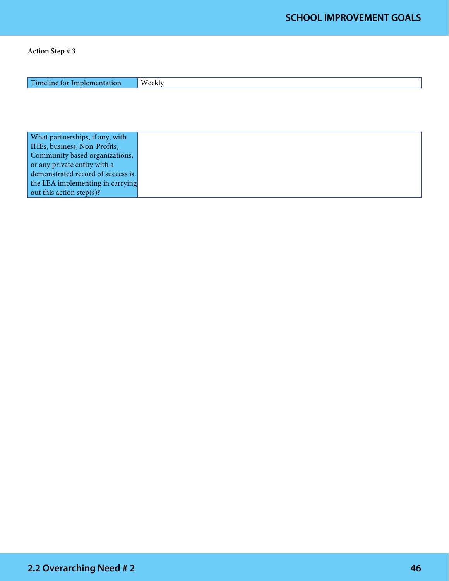| T<br>. .<br>41 I C<br>. . | <b>TAT</b><br>تداعهم |
|---------------------------|----------------------|
|                           |                      |

| What partnerships, if any, with   |  |
|-----------------------------------|--|
| IHEs, business, Non-Profits,      |  |
| Community based organizations,    |  |
| or any private entity with a      |  |
| demonstrated record of success is |  |
| the LEA implementing in carrying  |  |
| out this action step(s)?          |  |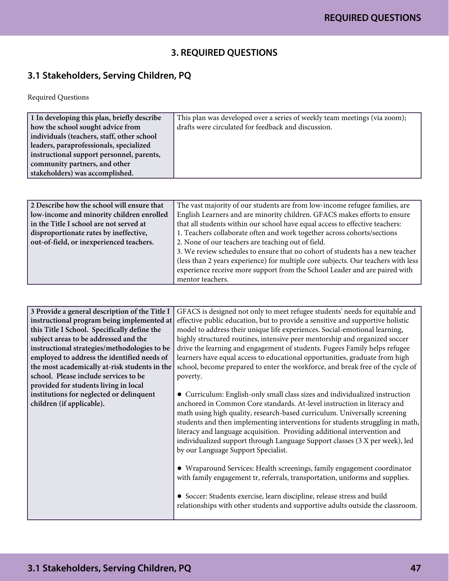## **3. REQUIRED QUESTIONS**

# **3.1 Stakeholders, Serving Children, PQ**

Required Questions

| 1 In developing this plan, briefly describe | This plan was developed over a series of weekly team meetings (via zoom); |
|---------------------------------------------|---------------------------------------------------------------------------|
| how the school sought advice from           | drafts were circulated for feedback and discussion.                       |
| individuals (teachers, staff, other school  |                                                                           |
| leaders, paraprofessionals, specialized     |                                                                           |
| instructional support personnel, parents,   |                                                                           |
| community partners, and other               |                                                                           |
| stakeholders) was accomplished.             |                                                                           |
|                                             |                                                                           |

| 2 Describe how the school will ensure that | The vast majority of our students are from low-income refugee families, are       |
|--------------------------------------------|-----------------------------------------------------------------------------------|
| low-income and minority children enrolled  | English Learners and are minority children. GFACS makes efforts to ensure         |
| in the Title I school are not served at    | that all students within our school have equal access to effective teachers:      |
| disproportionate rates by ineffective,     | 1. Teachers collaborate often and work together across cohorts/sections           |
| out-of-field, or inexperienced teachers.   | 2. None of our teachers are teaching out of field.                                |
|                                            | 3. We review schedules to ensure that no cohort of students has a new teacher     |
|                                            | (less than 2 years experience) for multiple core subjects. Our teachers with less |
|                                            | experience receive more support from the School Leader and are paired with        |
|                                            | mentor teachers.                                                                  |

| 3 Provide a general description of the Title I | GFACS is designed not only to meet refugee students' needs for equitable and   |
|------------------------------------------------|--------------------------------------------------------------------------------|
| instructional program being implemented at     | effective public education, but to provide a sensitive and supportive holistic |
| this Title I School. Specifically define the   | model to address their unique life experiences. Social-emotional learning,     |
| subject areas to be addressed and the          | highly structured routines, intensive peer mentorship and organized soccer     |
| instructional strategies/methodologies to be   | drive the learning and engagement of students. Fugees Family helps refugee     |
| employed to address the identified needs of    | learners have equal access to educational opportunities, graduate from high    |
| the most academically at-risk students in the  | school, become prepared to enter the workforce, and break free of the cycle of |
| school. Please include services to be          | poverty.                                                                       |
| provided for students living in local          |                                                                                |
| institutions for neglected or delinquent       | • Curriculum: English-only small class sizes and individualized instruction    |
| children (if applicable).                      | anchored in Common Core standards. At-level instruction in literacy and        |
|                                                | math using high quality, research-based curriculum. Universally screening      |
|                                                | students and then implementing interventions for students struggling in math,  |
|                                                | literacy and language acquisition. Providing additional intervention and       |
|                                                | individualized support through Language Support classes (3 X per week), led    |
|                                                | by our Language Support Specialist.                                            |
|                                                |                                                                                |
|                                                | • Wraparound Services: Health screenings, family engagement coordinator        |
|                                                |                                                                                |
|                                                | with family engagement tr, referrals, transportation, uniforms and supplies.   |
|                                                |                                                                                |
|                                                | • Soccer: Students exercise, learn discipline, release stress and build        |
|                                                | relationships with other students and supportive adults outside the classroom. |
|                                                |                                                                                |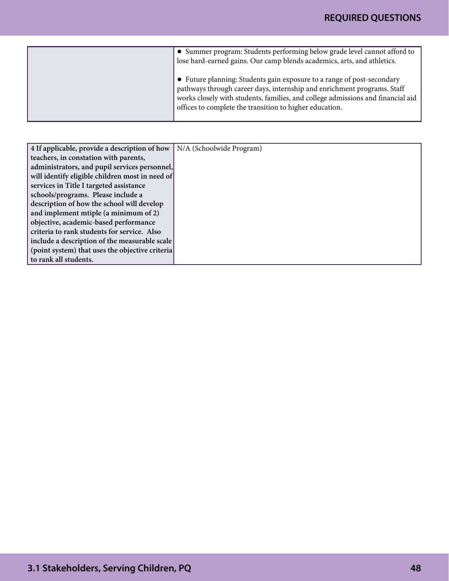| • Summer program: Students performing below grade level cannot afford to<br>lose hard-earned gains. Our camp blends academics, arts, and athletics.                                                                                                                                             |
|-------------------------------------------------------------------------------------------------------------------------------------------------------------------------------------------------------------------------------------------------------------------------------------------------|
| • Future planning: Students gain exposure to a range of post-secondary<br>pathways through career days, internship and enrichment programs. Staff<br>works closely with students, families, and college admissions and financial aid<br>offices to complete the transition to higher education. |

| 4 If applicable, provide a description of how   | N/A (Schoolwide Program) |
|-------------------------------------------------|--------------------------|
| teachers, in constation with parents,           |                          |
| administrators, and pupil services personnel,   |                          |
| will identify eligible children most in need of |                          |
| services in Title I targeted assistance         |                          |
| schools/programs. Please include a              |                          |
| description of how the school will develop      |                          |
| and implement mtiple (a minimum of 2)           |                          |
| objective, academic-based performance           |                          |
| criteria to rank students for service. Also     |                          |
| include a description of the measurable scale   |                          |
| (point system) that uses the objective criteria |                          |
| to rank all students.                           |                          |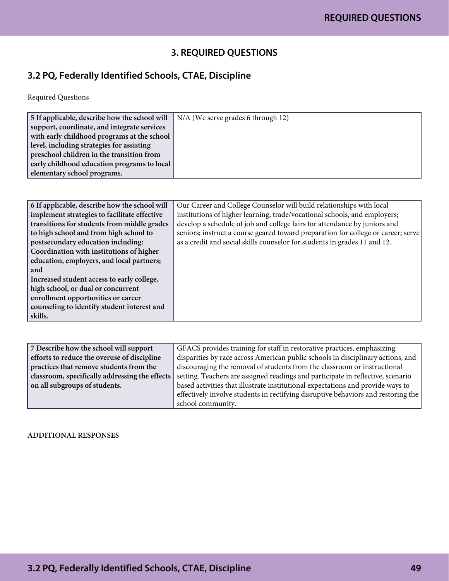## **3. REQUIRED QUESTIONS**

# **3.2 PQ, Federally Identified Schools, CTAE, Discipline**

Required Questions

| 5 If applicable, describe how the school will | N/A (We serve grades 6 through 12) |
|-----------------------------------------------|------------------------------------|
| support, coordinate, and integrate services   |                                    |
| with early childhood programs at the school   |                                    |
| level, including strategies for assisting     |                                    |
| preschool children in the transition from     |                                    |
| early childhood education programs to local   |                                    |
| elementary school programs.                   |                                    |

| 6 If applicable, describe how the school will | Our Career and College Counselor will build relationships with local              |
|-----------------------------------------------|-----------------------------------------------------------------------------------|
| implement strategies to facilitate effective  | institutions of higher learning, trade/vocational schools, and employers;         |
| transitions for students from middle grades   | develop a schedule of job and college fairs for attendance by juniors and         |
| to high school and from high school to        | seniors; instruct a course geared toward preparation for college or career; serve |
| postsecondary education including:            | as a credit and social skills counselor for students in grades 11 and 12.         |
| Coordination with institutions of higher      |                                                                                   |
| education, employers, and local partners;     |                                                                                   |
| and                                           |                                                                                   |
| Increased student access to early college,    |                                                                                   |
| high school, or dual or concurrent            |                                                                                   |
| enrollment opportunities or career            |                                                                                   |
| counseling to identify student interest and   |                                                                                   |
| skills.                                       |                                                                                   |

| 7 Describe how the school will support         | GFACS provides training for staff in restorative practices, emphasizing           |
|------------------------------------------------|-----------------------------------------------------------------------------------|
| efforts to reduce the overuse of discipline    | disparities by race across American public schools in disciplinary actions, and   |
| practices that remove students from the        | discouraging the removal of students from the classroom or instructional          |
| classroom, specifically addressing the effects | setting. Teachers are assigned readings and participate in reflective, scenario   |
| on all subgroups of students.                  | based activities that illustrate institutional expectations and provide ways to   |
|                                                | effectively involve students in rectifying disruptive behaviors and restoring the |
|                                                | school community.                                                                 |

ADDITIONAL RESPONSES